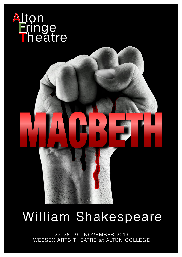

# William Shakespeare

27, 28, 29 NOVEMBER 2019<br>WESSEX ARTS THEATRE at ALTON COLLEGE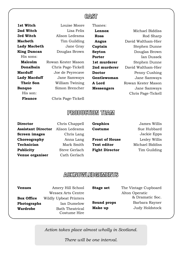## **CAST**

1st Witch **Louise Moore 2nd Witch** Lisa Felix **3rd Witch** Alison Ledesma **Macbeth** Tim Guilding **Lady Macbeth** Jane Gray **King Duncan** Douglas Brown His sons: **Malcolm** Rowan Kester Mason **Donalbain** Chris Page-Tickell **Macduff** Joe de Peyrecave **Lady Macduff** Jane Samways **Their Son** William Twining **Banquo** Simon Brencher His son: **Fleance** Chris Page-Tickell

Thanes:

 **Lennox** Michael Biddiss **Ross** Rod Sharp  **Angus** David Waltham-Hier **Captain** Stephen Dunne **Seyton** Douglas Brown **Porter** Ian Dussek 1st murderer Stephen Dunne **2nd murderer** David Waltham-Hier **Doctor** Penny Cushing **Gentlewoman** Jane Samways **A Lord** Rowan Kester Mason **Messengers** Jane Samways Chris Page-Tickell

## **PRODUCTION TEAM**

| <b>Director</b>           | Chris Chappell | Graphics              | James Willis    |
|---------------------------|----------------|-----------------------|-----------------|
| <b>Assistant Director</b> | Alison Ledesma | Costume               | Sue Hubbard     |
| <b>Screen images</b>      | Chris Lang     |                       | Jackie Epps     |
| Choreography              | Anna Lang      | <b>Front of House</b> | Lesley Willis   |
| Technician                | Mark Smith     | <b>Text editor</b>    | Michael Biddiss |
| <b>Publicity</b>          | Steve Gerlach  | <b>Fight Director</b> | Tim Guilding    |
| Venue organiser           | Cath Gerlach   |                       |                 |

# **ACKNOWLEDGEMENTS**

| <b>Venues</b><br><b>Box Office</b> | Amery Hill School<br><b>Wessex Arts Centre</b>                                         | <b>Stage set</b>       | The Vintage Cupboard<br>Alton Operatic<br>& Dramatic Soc. |
|------------------------------------|----------------------------------------------------------------------------------------|------------------------|-----------------------------------------------------------|
| Photographs<br><b>Wardrobe</b>     | <b>Wildly Upbeat Printers</b><br>Ian Dumelow<br><b>Bath Theatrical</b><br>Costume Hire | Sound props<br>Make up | Barbara Rayner<br>Judy Holdstock                          |

*Action takes place almost wholly in Scotland.*

*There will be one interval.*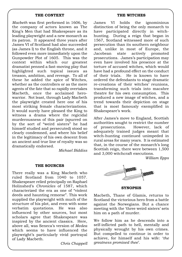### **THE CONTEXT**

*Macbeth* was first performed in 1606, by the company of actors known as The King's Men that had Shakespeare as its leading playwright and a new monarch as its patron. It appeared three years after James VI of Scotland had also succeeded (as James I) to the English throne, and it followed even more immediately upon the Gunpowder Plot of 1605. This was the context within which our greatest dramatist penned a fast-moving play that highlighted such topical issues as treason, ambition, and revenge. To all of these he added the spice of Witches, whether as the controllers or as the mere agents of the fate that so rapidly overtakes Macbeth, once the acclaimed herowarrior. Not least, through Lady Macbeth the playwright created here one of his most striking female characterizations. It would surely have pleased the King to witness a drama where the regicidal murderousness of this pair (spurred on by the sort of "weird sisters" he had himself studied and persecuted) stood so clearly condemned, and where his belief in the legitimacy of his own descent from an ancient and true line of royalty was so dramatically endorsed.

*Michael Biddiss*

#### **THE SOURCES**

There really was a King Macbeth who ruled Scotland from 1040 to 1057. Shakespeare relied principally on Raphael Holinshed's *Chronicles* of 1587, which characterized the era as one of "violent deeds and haunting remorse". This work supplied the playwright with much of the structure of his plot, and even with some verbatim quotations. He was also influenced by other sources, but most scholars agree that Shakespeare was inspired by the ancient classics. Here, above all, was Seneca's version of *Medea* which seems to have influenced the playwright's particularly vivid portrayal of Lady Macbeth.

*Chris Chappell*

#### **THE WITCHES**

James VI holds the ignominious distinction of being the only monarch to have participated directly in witchhunting. During a reign that began in 1567, Scotland witnessed more of such persecution than its southern neighbour and, unlike in most of Europe, the Jacobean state actively promoted prosecutions. James's participation may even have involved his presence at the torture of accused witches, which would have had a profound effect on the conduct<br>of their trials. He is known to have He is known to have ordered the defendants to stage dramatic re-creations of their witches' reunions, transforming such trials into macabre theatre for his own consumption. This produced a new image of witches, and a trend towards their depiction on stage that is most famously exemplified in Shakespeare's work.

After James's move to England, Scottish authorities sought to restrict the number of prosecutions. However, lack of adequately trained judges meant that witch-hunting continued unimpeded in rural areas for many years. It is estimated that, in the course of the monarch's long Scottish reign, there were between 1,500 and 3,000 witchcraft executions.

*William Epps*



**SYNOPSIS**

Macbeth, Thane of Glamis, returns to Scotland the victorious hero from a battle against the Norwegians. But a chance meeting with the 'three weird sisters' sets him on a path of murder.

We follow him as he descends into a self-inflicted path to hell, mentally and physically wrought by his own crimes. But compelled to continue in order to achieve, for himself and his wife: '*the greatness promised thee*'.